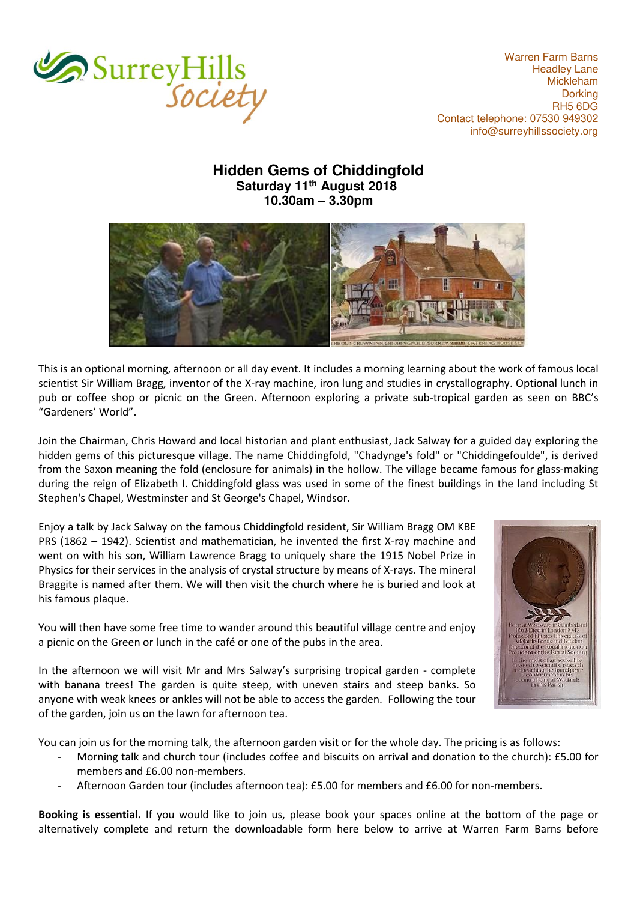

Warren Farm Barns Headley Lane Mickleham Dorking RH5 6DG Contact telephone: 07530 949302 [info@surreyhillssociety.org](mailto:chairman@surreyhillssociety.org)

## **Hidden Gems of Chiddingfold Saturday 11th August 2018 10.30am – 3.30pm**



This is an optional morning, afternoon or all day event. It includes a morning learning about the work of famous local scientist Sir William Bragg, inventor of the X-ray machine, iron lung and studies in crystallography. Optional lunch in pub or coffee shop or picnic on the Green. Afternoon exploring a private sub-tropical garden as seen on BBC's "Gardeners' World".

Join the Chairman, Chris Howard and local historian and plant enthusiast, Jack Salway for a guided day exploring the hidden gems of this picturesque village. The name Chiddingfold, "Chadynge's fold" or "Chiddingefoulde", is derived from the Saxon meaning the fold (enclosure for animals) in the hollow. The village became famous for glass-making during the reign of Elizabeth I. Chiddingfold glass was used in some of the finest buildings in the land including St Stephen's Chapel, Westminster and St George's Chapel, Windsor.

Enjoy a talk by Jack Salway on the famous Chiddingfold resident, Sir William Bragg OM KBE PRS (1862 – 1942). Scientist and mathematician, he invented the first X-ray machine and went on with his son, William Lawrence Bragg to uniquely share the 1915 Nobel Prize in Physics for their services in the analysis of crystal structure by means of X-rays. The mineral Braggite is named after them. We will then visit the church where he is buried and look at his famous plaque.

You will then have some free time to wander around this beautiful village centre and enjoy a picnic on the Green or lunch in the café or one of the pubs in the area.



In the afternoon we will visit Mr and Mrs Salway's surprising tropical garden - complete with banana trees! The garden is quite steep, with uneven stairs and steep banks. So anyone with weak knees or ankles will not be able to access the garden. Following the tour of the garden, join us on the lawn for afternoon tea.

You can join us for the morning talk, the afternoon garden visit or for the whole day. The pricing is as follows:

- Morning talk and church tour (includes coffee and biscuits on arrival and donation to the church): £5.00 for members and £6.00 non-members.
- Afternoon Garden tour (includes afternoon tea): £5.00 for members and £6.00 for non-members.

**Booking is essential.** If you would like to join us, please book your spaces online at the bottom of the page or alternatively complete and return the downloadable form here below to arrive at Warren Farm Barns before